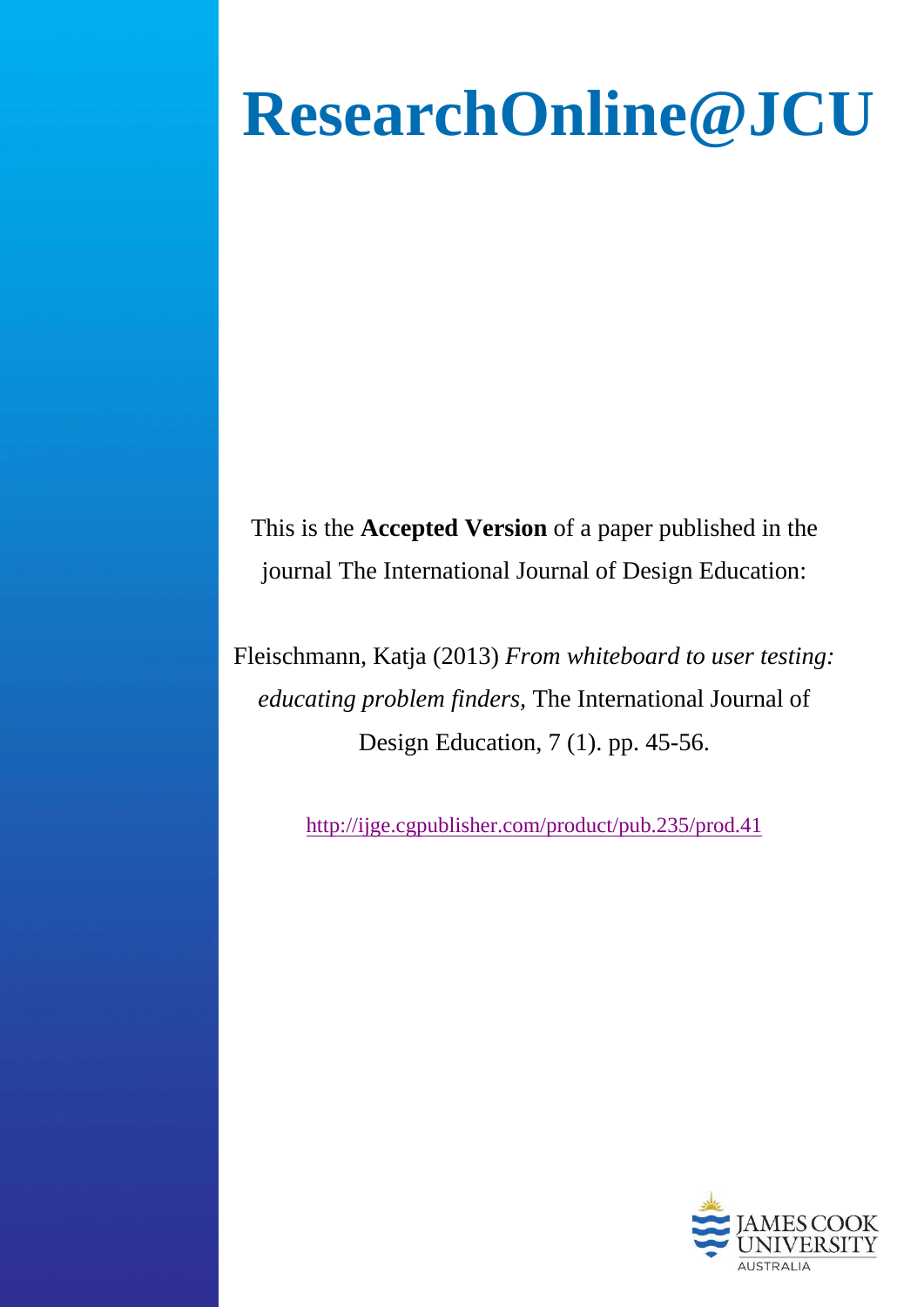# **ResearchOnline@JCU**

This is the **Accepted Version** of a paper published in the journal The International Journal of Design Education:

Fleischmann, Katja (2013) *From whiteboard to user testing: educating problem finders,* The International Journal of Design Education, 7 (1). pp. 45-56.

<http://ijge.cgpublisher.com/product/pub.235/prod.41>

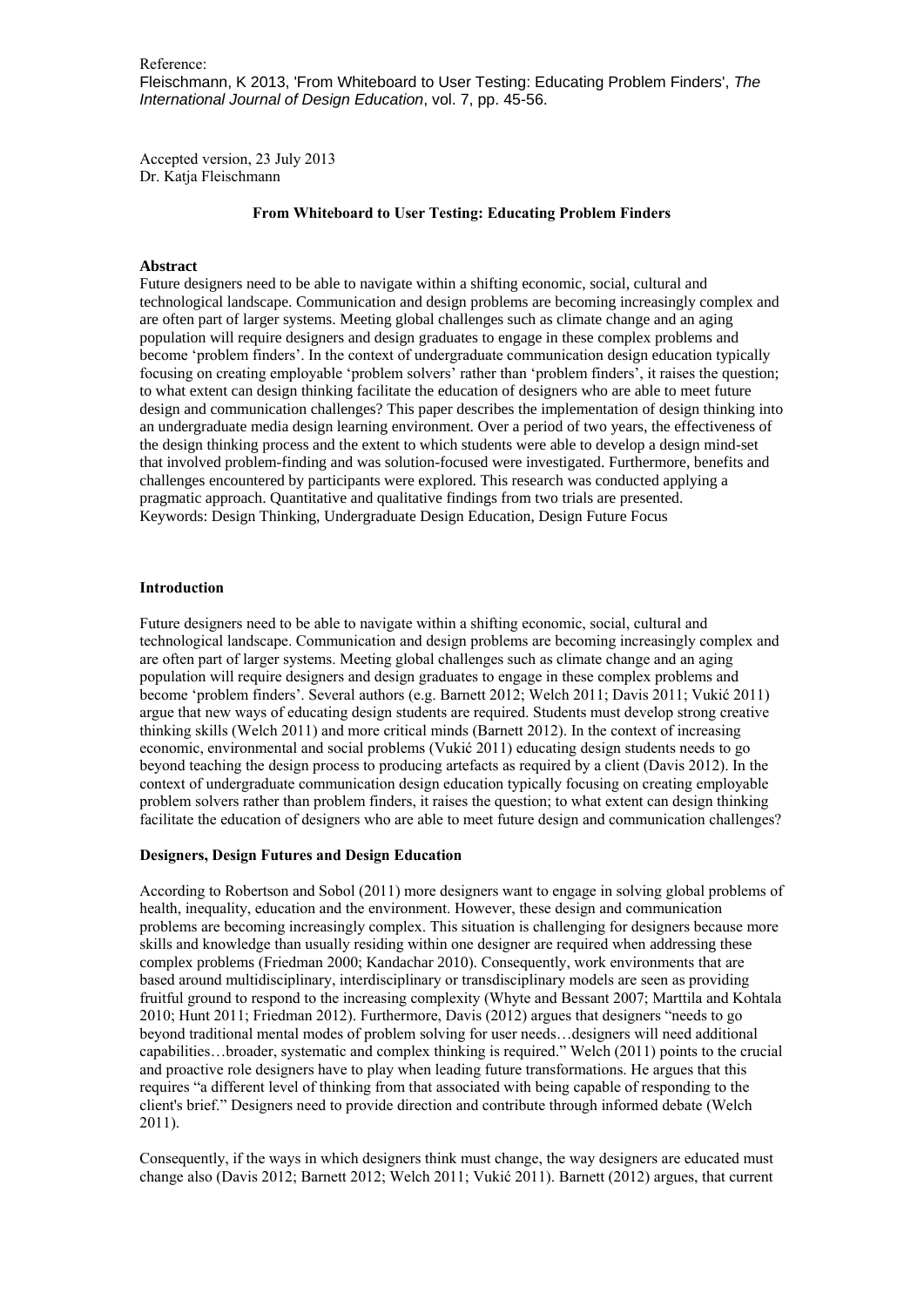Reference: Fleischmann, K 2013, 'From Whiteboard to User Testing: Educating Problem Finders', *The International Journal of Design Education*, vol. 7, pp. 45-56.

Accepted version, 23 July 2013 Dr. Katja Fleischmann

# **From Whiteboard to User Testing: Educating Problem Finders**

## **Abstract**

Future designers need to be able to navigate within a shifting economic, social, cultural and technological landscape. Communication and design problems are becoming increasingly complex and are often part of larger systems. Meeting global challenges such as climate change and an aging population will require designers and design graduates to engage in these complex problems and become 'problem finders'. In the context of undergraduate communication design education typically focusing on creating employable 'problem solvers' rather than 'problem finders', it raises the question; to what extent can design thinking facilitate the education of designers who are able to meet future design and communication challenges? This paper describes the implementation of design thinking into an undergraduate media design learning environment. Over a period of two years, the effectiveness of the design thinking process and the extent to which students were able to develop a design mind-set that involved problem-finding and was solution-focused were investigated. Furthermore, benefits and challenges encountered by participants were explored. This research was conducted applying a pragmatic approach. Quantitative and qualitative findings from two trials are presented. Keywords: Design Thinking, Undergraduate Design Education, Design Future Focus

#### **Introduction**

Future designers need to be able to navigate within a shifting economic, social, cultural and technological landscape. Communication and design problems are becoming increasingly complex and are often part of larger systems. Meeting global challenges such as climate change and an aging population will require designers and design graduates to engage in these complex problems and become 'problem finders'. Several authors (e.g. Barnett 2012; Welch 2011; Davis 2011; Vukić 2011) argue that new ways of educating design students are required. Students must develop strong creative thinking skills (Welch 2011) and more critical minds (Barnett 2012). In the context of increasing economic, environmental and social problems (Vukić 2011) educating design students needs to go beyond teaching the design process to producing artefacts as required by a client (Davis 2012). In the context of undergraduate communication design education typically focusing on creating employable problem solvers rather than problem finders, it raises the question; to what extent can design thinking facilitate the education of designers who are able to meet future design and communication challenges?

#### **Designers, Design Futures and Design Education**

According to Robertson and Sobol (2011) more designers want to engage in solving global problems of health, inequality, education and the environment. However, these design and communication problems are becoming increasingly complex. This situation is challenging for designers because more skills and knowledge than usually residing within one designer are required when addressing these complex problems (Friedman 2000; Kandachar 2010). Consequently, work environments that are based around multidisciplinary, interdisciplinary or transdisciplinary models are seen as providing fruitful ground to respond to the increasing complexity (Whyte and Bessant 2007; Marttila and Kohtala 2010; Hunt 2011; Friedman 2012). Furthermore, Davis (2012) argues that designers "needs to go beyond traditional mental modes of problem solving for user needs…designers will need additional capabilities…broader, systematic and complex thinking is required." Welch (2011) points to the crucial and proactive role designers have to play when leading future transformations. He argues that this requires "a different level of thinking from that associated with being capable of responding to the client's brief." Designers need to provide direction and contribute through informed debate (Welch 2011).

Consequently, if the ways in which designers think must change, the way designers are educated must change also (Davis 2012; Barnett 2012; Welch 2011; Vukić 2011). Barnett (2012) argues, that current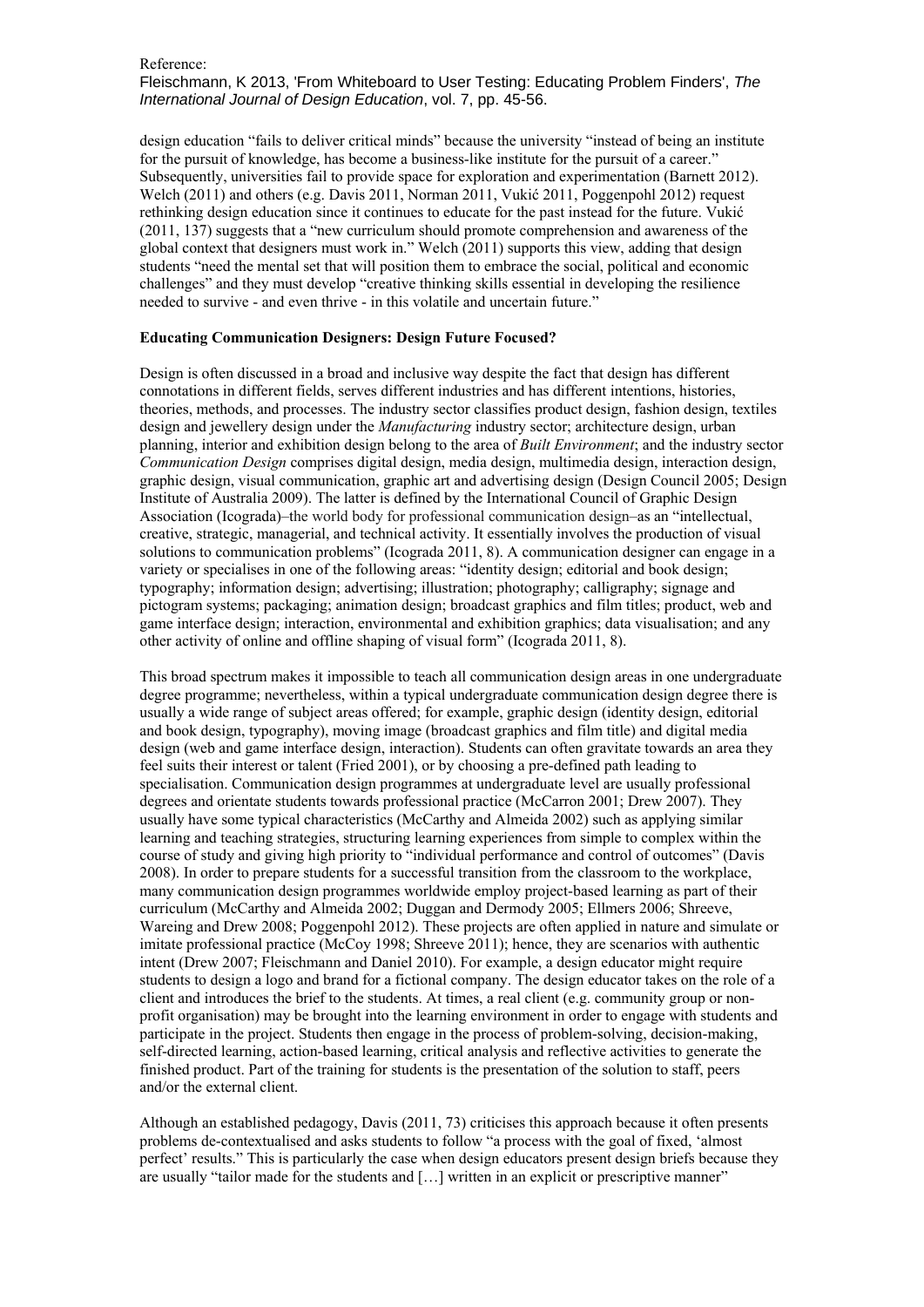# Reference: Fleischmann, K 2013, 'From Whiteboard to User Testing: Educating Problem Finders', *The International Journal of Design Education*, vol. 7, pp. 45-56.

design education "fails to deliver critical minds" because the university "instead of being an institute for the pursuit of knowledge, has become a business-like institute for the pursuit of a career." Subsequently, universities fail to provide space for exploration and experimentation (Barnett 2012). Welch (2011) and others (e.g. Davis 2011, Norman 2011, Vukić 2011, Poggenpohl 2012) request rethinking design education since it continues to educate for the past instead for the future. Vukić (2011, 137) suggests that a "new curriculum should promote comprehension and awareness of the global context that designers must work in." Welch (2011) supports this view, adding that design students "need the mental set that will position them to embrace the social, political and economic challenges" and they must develop "creative thinking skills essential in developing the resilience needed to survive - and even thrive - in this volatile and uncertain future."

# **Educating Communication Designers: Design Future Focused?**

Design is often discussed in a broad and inclusive way despite the fact that design has different connotations in different fields, serves different industries and has different intentions, histories, theories, methods, and processes. The industry sector classifies product design, fashion design, textiles design and jewellery design under the *Manufacturing* industry sector; architecture design, urban planning, interior and exhibition design belong to the area of *Built Environment*; and the industry sector *Communication Design* comprises digital design, media design, multimedia design, interaction design, graphic design, visual communication, graphic art and advertising design (Design Council 2005; Design Institute of Australia 2009). The latter is defined by the International Council of Graphic Design Association (Icograda)–the world body for professional communication design–as an "intellectual, creative, strategic, managerial, and technical activity. It essentially involves the production of visual solutions to communication problems" (Icograda 2011, 8). A communication designer can engage in a variety or specialises in one of the following areas: "identity design; editorial and book design; typography; information design; advertising; illustration; photography; calligraphy; signage and pictogram systems; packaging; animation design; broadcast graphics and film titles; product, web and game interface design; interaction, environmental and exhibition graphics; data visualisation; and any other activity of online and offline shaping of visual form" (Icograda 2011, 8).

This broad spectrum makes it impossible to teach all communication design areas in one undergraduate degree programme; nevertheless, within a typical undergraduate communication design degree there is usually a wide range of subject areas offered; for example, graphic design (identity design, editorial and book design, typography), moving image (broadcast graphics and film title) and digital media design (web and game interface design, interaction). Students can often gravitate towards an area they feel suits their interest or talent (Fried 2001), or by choosing a pre-defined path leading to specialisation. Communication design programmes at undergraduate level are usually professional degrees and orientate students towards professional practice (McCarron 2001; Drew 2007). They usually have some typical characteristics (McCarthy and Almeida 2002) such as applying similar learning and teaching strategies, structuring learning experiences from simple to complex within the course of study and giving high priority to "individual performance and control of outcomes" (Davis 2008). In order to prepare students for a successful transition from the classroom to the workplace, many communication design programmes worldwide employ project-based learning as part of their curriculum (McCarthy and Almeida 2002; Duggan and Dermody 2005; Ellmers 2006; Shreeve, Wareing and Drew 2008; Poggenpohl 2012). These projects are often applied in nature and simulate or imitate professional practice (McCoy 1998; Shreeve 2011); hence, they are scenarios with authentic intent (Drew 2007; Fleischmann and Daniel 2010). For example, a design educator might require students to design a logo and brand for a fictional company. The design educator takes on the role of a client and introduces the brief to the students. At times, a real client (e.g. community group or nonprofit organisation) may be brought into the learning environment in order to engage with students and participate in the project. Students then engage in the process of problem-solving, decision-making, self-directed learning, action-based learning, critical analysis and reflective activities to generate the finished product. Part of the training for students is the presentation of the solution to staff, peers and/or the external client.

Although an established pedagogy, Davis (2011, 73) criticises this approach because it often presents problems de-contextualised and asks students to follow "a process with the goal of fixed, 'almost perfect' results." This is particularly the case when design educators present design briefs because they are usually "tailor made for the students and […] written in an explicit or prescriptive manner"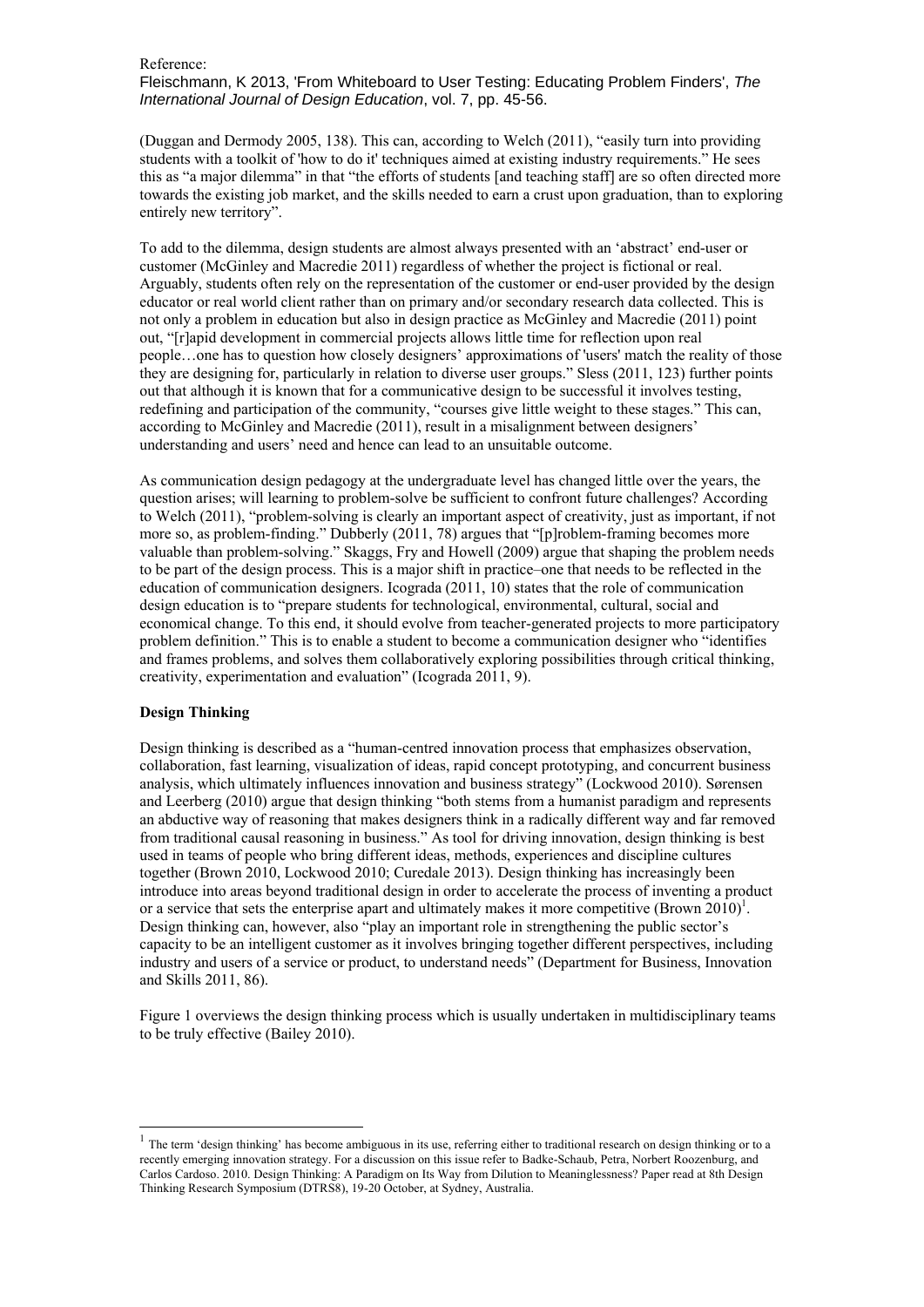Fleischmann, K 2013, 'From Whiteboard to User Testing: Educating Problem Finders', *The International Journal of Design Education*, vol. 7, pp. 45-56.

(Duggan and Dermody 2005, 138). This can, according to Welch (2011), "easily turn into providing students with a toolkit of 'how to do it' techniques aimed at existing industry requirements." He sees this as "a major dilemma" in that "the efforts of students [and teaching staff] are so often directed more towards the existing job market, and the skills needed to earn a crust upon graduation, than to exploring entirely new territory".

To add to the dilemma, design students are almost always presented with an 'abstract' end-user or customer (McGinley and Macredie 2011) regardless of whether the project is fictional or real. Arguably, students often rely on the representation of the customer or end-user provided by the design educator or real world client rather than on primary and/or secondary research data collected. This is not only a problem in education but also in design practice as McGinley and Macredie (2011) point out, "[r]apid development in commercial projects allows little time for reflection upon real people…one has to question how closely designers' approximations of 'users' match the reality of those they are designing for, particularly in relation to diverse user groups." Sless (2011, 123) further points out that although it is known that for a communicative design to be successful it involves testing, redefining and participation of the community, "courses give little weight to these stages." This can, according to McGinley and Macredie (2011), result in a misalignment between designers' understanding and users' need and hence can lead to an unsuitable outcome.

As communication design pedagogy at the undergraduate level has changed little over the years, the question arises; will learning to problem-solve be sufficient to confront future challenges? According to Welch (2011), "problem-solving is clearly an important aspect of creativity, just as important, if not more so, as problem-finding." Dubberly (2011, 78) argues that "[p]roblem-framing becomes more valuable than problem-solving." Skaggs, Fry and Howell (2009) argue that shaping the problem needs to be part of the design process. This is a major shift in practice–one that needs to be reflected in the education of communication designers. Icograda (2011, 10) states that the role of communication design education is to "prepare students for technological, environmental, cultural, social and economical change. To this end, it should evolve from teacher-generated projects to more participatory problem definition." This is to enable a student to become a communication designer who "identifies and frames problems, and solves them collaboratively exploring possibilities through critical thinking, creativity, experimentation and evaluation" (Icograda 2011, 9).

#### **Design Thinking**

1

Design thinking is described as a "human-centred innovation process that emphasizes observation, collaboration, fast learning, visualization of ideas, rapid concept prototyping, and concurrent business analysis, which ultimately influences innovation and business strategy" (Lockwood 2010). Sørensen and Leerberg (2010) argue that design thinking "both stems from a humanist paradigm and represents an abductive way of reasoning that makes designers think in a radically different way and far removed from traditional causal reasoning in business." As tool for driving innovation, design thinking is best used in teams of people who bring different ideas, methods, experiences and discipline cultures together (Brown 2010, Lockwood 2010; Curedale 2013). Design thinking has increasingly been introduce into areas beyond traditional design in order to accelerate the process of inventing a product or a service that sets the enterprise apart and ultimately makes it more competitive (Brown  $2010$ <sup>1</sup>. Design thinking can, however, also "play an important role in strengthening the public sector's capacity to be an intelligent customer as it involves bringing together different perspectives, including industry and users of a service or product, to understand needs" (Department for Business, Innovation and Skills 2011, 86).

Figure 1 overviews the design thinking process which is usually undertaken in multidisciplinary teams to be truly effective (Bailey 2010).

 $<sup>1</sup>$  The term 'design thinking' has become ambiguous in its use, referring either to traditional research on design thinking or to a</sup> recently emerging innovation strategy. For a discussion on this issue refer to Badke-Schaub, Petra, Norbert Roozenburg, and Carlos Cardoso. 2010. Design Thinking: A Paradigm on Its Way from Dilution to Meaninglessness? Paper read at 8th Design Thinking Research Symposium (DTRS8), 19-20 October, at Sydney, Australia.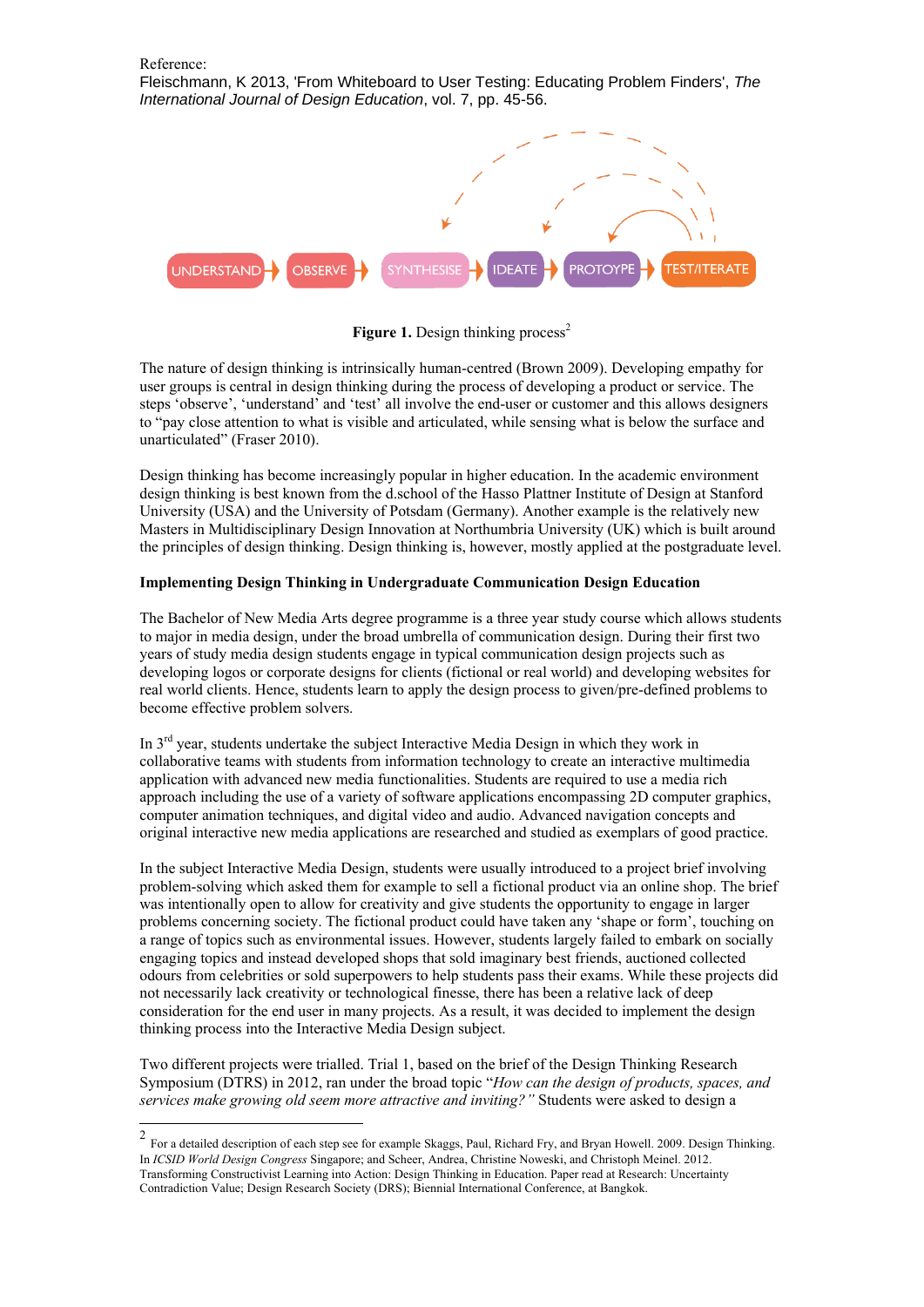

**Figure 1.** Design thinking process<sup>2</sup>

The nature of design thinking is intrinsically human-centred (Brown 2009). Developing empathy for user groups is central in design thinking during the process of developing a product or service. The steps 'observe', 'understand' and 'test' all involve the end-user or customer and this allows designers to "pay close attention to what is visible and articulated, while sensing what is below the surface and unarticulated" (Fraser 2010).

Design thinking has become increasingly popular in higher education. In the academic environment design thinking is best known from the d.school of the Hasso Plattner Institute of Design at Stanford University (USA) and the University of Potsdam (Germany). Another example is the relatively new Masters in Multidisciplinary Design Innovation at Northumbria University (UK) which is built around the principles of design thinking. Design thinking is, however, mostly applied at the postgraduate level.

# **Implementing Design Thinking in Undergraduate Communication Design Education**

The Bachelor of New Media Arts degree programme is a three year study course which allows students to major in media design, under the broad umbrella of communication design. During their first two years of study media design students engage in typical communication design projects such as developing logos or corporate designs for clients (fictional or real world) and developing websites for real world clients. Hence, students learn to apply the design process to given/pre-defined problems to become effective problem solvers.

In 3rd year, students undertake the subject Interactive Media Design in which they work in collaborative teams with students from information technology to create an interactive multimedia application with advanced new media functionalities. Students are required to use a media rich approach including the use of a variety of software applications encompassing 2D computer graphics, computer animation techniques, and digital video and audio. Advanced navigation concepts and original interactive new media applications are researched and studied as exemplars of good practice.

In the subject Interactive Media Design, students were usually introduced to a project brief involving problem-solving which asked them for example to sell a fictional product via an online shop. The brief was intentionally open to allow for creativity and give students the opportunity to engage in larger problems concerning society. The fictional product could have taken any 'shape or form', touching on a range of topics such as environmental issues. However, students largely failed to embark on socially engaging topics and instead developed shops that sold imaginary best friends, auctioned collected odours from celebrities or sold superpowers to help students pass their exams. While these projects did not necessarily lack creativity or technological finesse, there has been a relative lack of deep consideration for the end user in many projects. As a result, it was decided to implement the design thinking process into the Interactive Media Design subject.

Two different projects were trialled. Trial 1, based on the brief of the Design Thinking Research Symposium (DTRS) in 2012, ran under the broad topic "*How can the design of products, spaces, and services make growing old seem more attractive and inviting?"* Students were asked to design a

 $\frac{1}{2}$ For a detailed description of each step see for example Skaggs, Paul, Richard Fry, and Bryan Howell. 2009. Design Thinking. In *ICSID World Design Congress* Singapore; and Scheer, Andrea, Christine Noweski, and Christoph Meinel. 2012. Transforming Constructivist Learning into Action: Design Thinking in Education. Paper read at Research: Uncertainty Contradiction Value; Design Research Society (DRS); Biennial International Conference, at Bangkok.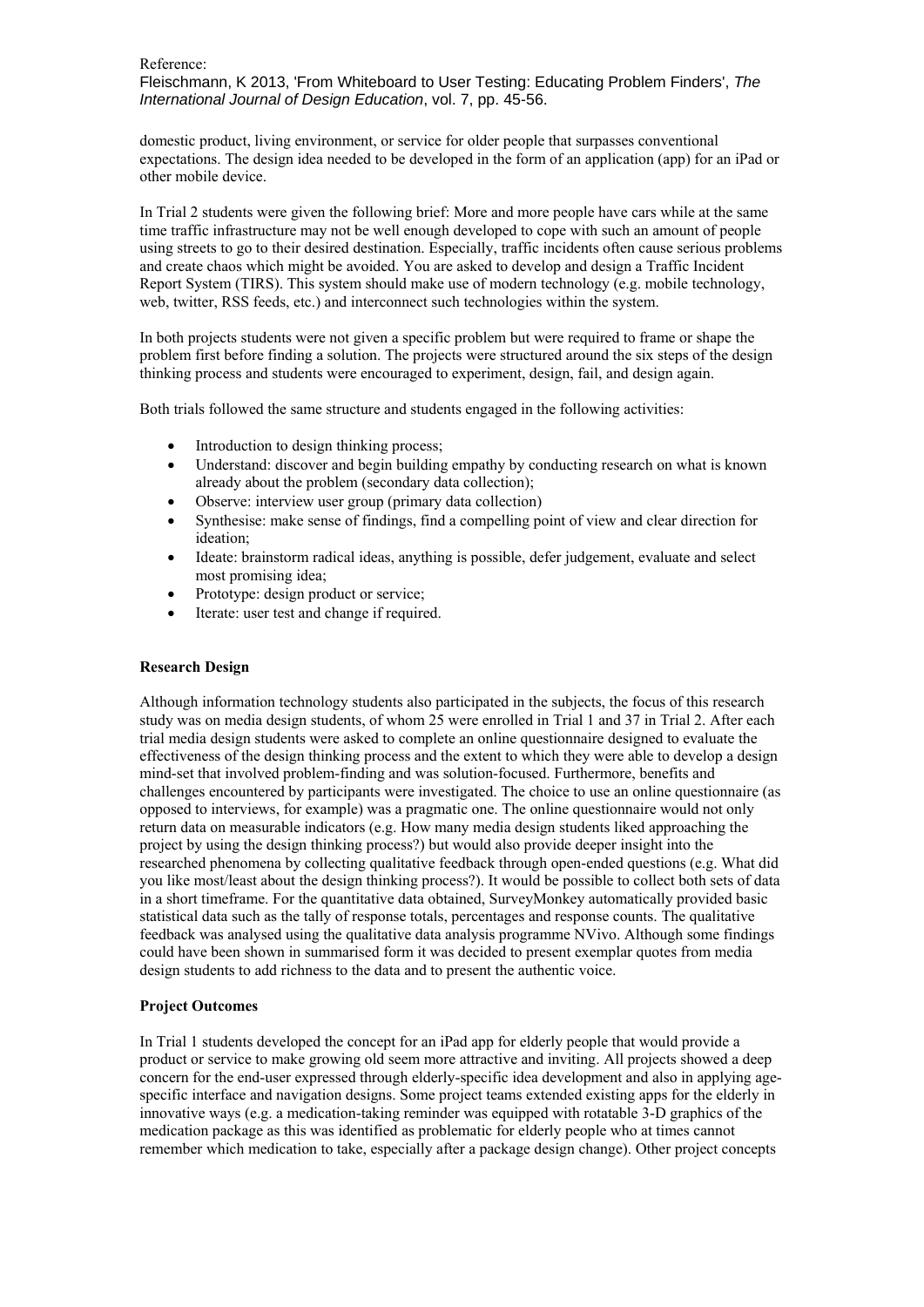Fleischmann, K 2013, 'From Whiteboard to User Testing: Educating Problem Finders', *The International Journal of Design Education*, vol. 7, pp. 45-56.

domestic product, living environment, or service for older people that surpasses conventional expectations. The design idea needed to be developed in the form of an application (app) for an iPad or other mobile device.

In Trial 2 students were given the following brief: More and more people have cars while at the same time traffic infrastructure may not be well enough developed to cope with such an amount of people using streets to go to their desired destination. Especially, traffic incidents often cause serious problems and create chaos which might be avoided. You are asked to develop and design a Traffic Incident Report System (TIRS). This system should make use of modern technology (e.g. mobile technology, web, twitter, RSS feeds, etc.) and interconnect such technologies within the system.

In both projects students were not given a specific problem but were required to frame or shape the problem first before finding a solution. The projects were structured around the six steps of the design thinking process and students were encouraged to experiment, design, fail, and design again.

Both trials followed the same structure and students engaged in the following activities:

- Introduction to design thinking process;
- Understand: discover and begin building empathy by conducting research on what is known already about the problem (secondary data collection);
- Observe: interview user group (primary data collection)
- Synthesise: make sense of findings, find a compelling point of view and clear direction for ideation;
- Ideate: brainstorm radical ideas, anything is possible, defer judgement, evaluate and select most promising idea;
- Prototype: design product or service;
- Iterate: user test and change if required.

# **Research Design**

Although information technology students also participated in the subjects, the focus of this research study was on media design students, of whom 25 were enrolled in Trial 1 and 37 in Trial 2. After each trial media design students were asked to complete an online questionnaire designed to evaluate the effectiveness of the design thinking process and the extent to which they were able to develop a design mind-set that involved problem-finding and was solution-focused. Furthermore, benefits and challenges encountered by participants were investigated. The choice to use an online questionnaire (as opposed to interviews, for example) was a pragmatic one. The online questionnaire would not only return data on measurable indicators (e.g. How many media design students liked approaching the project by using the design thinking process?) but would also provide deeper insight into the researched phenomena by collecting qualitative feedback through open-ended questions (e.g. What did you like most/least about the design thinking process?). It would be possible to collect both sets of data in a short timeframe. For the quantitative data obtained, SurveyMonkey automatically provided basic statistical data such as the tally of response totals, percentages and response counts. The qualitative feedback was analysed using the qualitative data analysis programme NVivo. Although some findings could have been shown in summarised form it was decided to present exemplar quotes from media design students to add richness to the data and to present the authentic voice.

#### **Project Outcomes**

In Trial 1 students developed the concept for an iPad app for elderly people that would provide a product or service to make growing old seem more attractive and inviting. All projects showed a deep concern for the end-user expressed through elderly-specific idea development and also in applying agespecific interface and navigation designs. Some project teams extended existing apps for the elderly in innovative ways (e.g. a medication-taking reminder was equipped with rotatable 3-D graphics of the medication package as this was identified as problematic for elderly people who at times cannot remember which medication to take, especially after a package design change). Other project concepts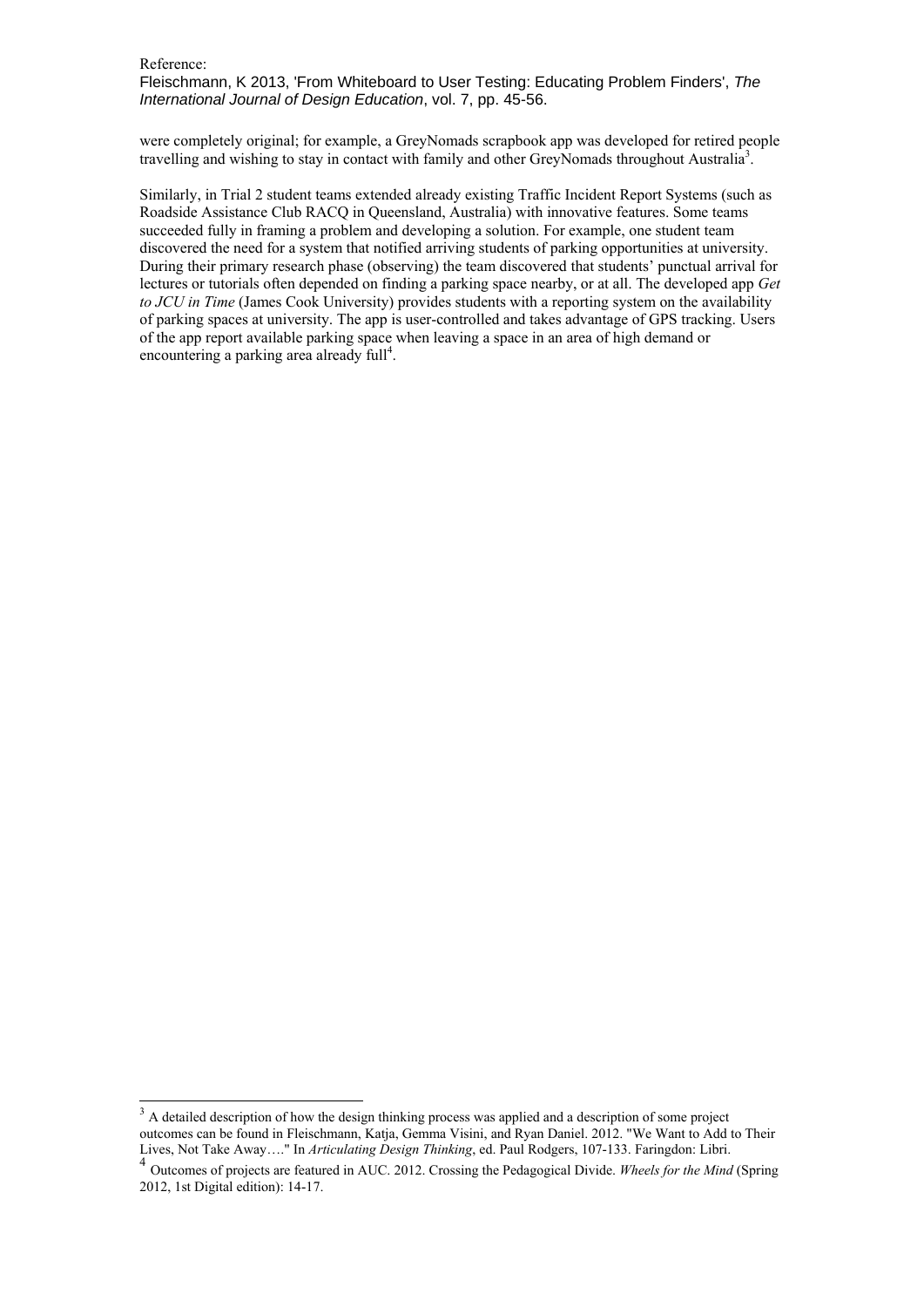1

Fleischmann, K 2013, 'From Whiteboard to User Testing: Educating Problem Finders', *The International Journal of Design Education*, vol. 7, pp. 45-56.

were completely original; for example, a GreyNomads scrapbook app was developed for retired people travelling and wishing to stay in contact with family and other GreyNomads throughout Australia<sup>3</sup>.

Similarly, in Trial 2 student teams extended already existing Traffic Incident Report Systems (such as Roadside Assistance Club RACQ in Queensland, Australia) with innovative features. Some teams succeeded fully in framing a problem and developing a solution. For example, one student team discovered the need for a system that notified arriving students of parking opportunities at university. During their primary research phase (observing) the team discovered that students' punctual arrival for lectures or tutorials often depended on finding a parking space nearby, or at all. The developed app *Get to JCU in Time* (James Cook University) provides students with a reporting system on the availability of parking spaces at university. The app is user-controlled and takes advantage of GPS tracking. Users of the app report available parking space when leaving a space in an area of high demand or encountering a parking area already full<sup>4</sup>.

 $3 \text{ A}$  detailed description of how the design thinking process was applied and a description of some project outcomes can be found in Fleischmann, Katja, Gemma Visini, and Ryan Daniel. 2012. "We Want to Add to Their Lives, Not Take Away…." In *Articulating Design Thinking*, ed. Paul Rodgers, 107-133. Faringdon: Libri.

<sup>4</sup> Outcomes of projects are featured in AUC. 2012. Crossing the Pedagogical Divide. *Wheels for the Mind* (Spring 2012, 1st Digital edition): 14-17.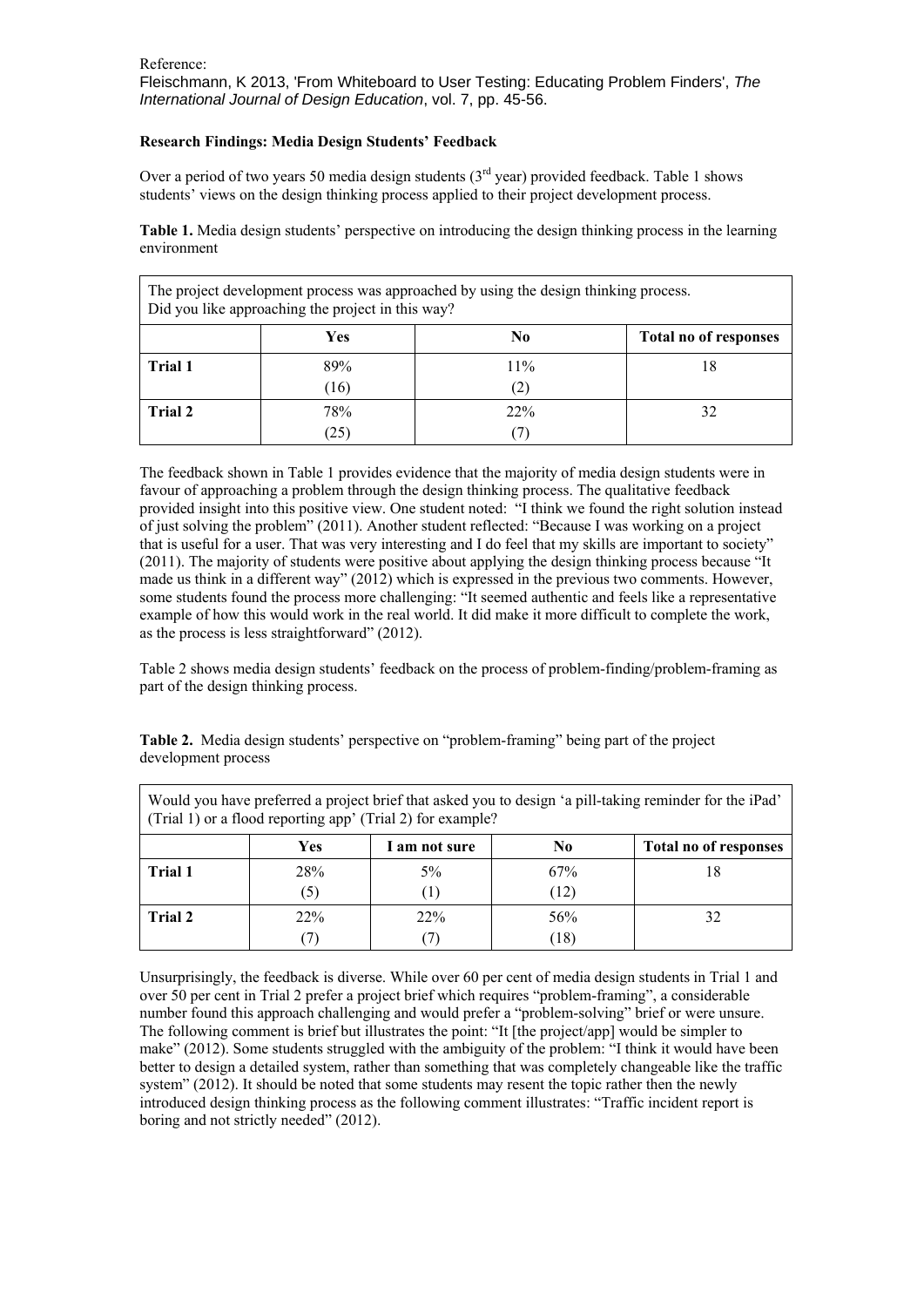# **Research Findings: Media Design Students' Feedback**

Over a period of two years 50 media design students  $(3<sup>rd</sup>$  year) provided feedback. Table 1 shows students' views on the design thinking process applied to their project development process.

**Table 1.** Media design students' perspective on introducing the design thinking process in the learning environment

| The project development process was approached by using the design thinking process.<br>Did you like approaching the project in this way? |      |     |                       |  |  |  |
|-------------------------------------------------------------------------------------------------------------------------------------------|------|-----|-----------------------|--|--|--|
|                                                                                                                                           | Yes  | No  | Total no of responses |  |  |  |
| Trial 1                                                                                                                                   | 89%  | 11% | 18                    |  |  |  |
|                                                                                                                                           | (16) | 2)  |                       |  |  |  |
| Trial 2                                                                                                                                   | 78%  | 22% |                       |  |  |  |
|                                                                                                                                           | (25) |     |                       |  |  |  |

The feedback shown in Table 1 provides evidence that the majority of media design students were in favour of approaching a problem through the design thinking process. The qualitative feedback provided insight into this positive view. One student noted: "I think we found the right solution instead of just solving the problem" (2011). Another student reflected: "Because I was working on a project that is useful for a user. That was very interesting and I do feel that my skills are important to society" (2011). The majority of students were positive about applying the design thinking process because "It made us think in a different way" (2012) which is expressed in the previous two comments. However, some students found the process more challenging: "It seemed authentic and feels like a representative example of how this would work in the real world. It did make it more difficult to complete the work, as the process is less straightforward" (2012).

Table 2 shows media design students' feedback on the process of problem-finding/problem-framing as part of the design thinking process.

**Table 2.** Media design students' perspective on "problem-framing" being part of the project development process

| Would you have preferred a project brief that asked you to design 'a pill-taking reminder for the iPad'<br>(Trial 1) or a flood reporting app' (Trial 2) for example? |            |               |      |                       |  |
|-----------------------------------------------------------------------------------------------------------------------------------------------------------------------|------------|---------------|------|-----------------------|--|
|                                                                                                                                                                       | <b>Yes</b> | I am not sure | No.  | Total no of responses |  |
| Trial 1                                                                                                                                                               | 28%        | $5\%$         | 67%  | 18                    |  |
|                                                                                                                                                                       | 5)         |               | (12) |                       |  |
| <b>Trial 2</b>                                                                                                                                                        | 22%        | 22%           | 56%  | 32                    |  |
|                                                                                                                                                                       |            |               | (18) |                       |  |

Unsurprisingly, the feedback is diverse. While over 60 per cent of media design students in Trial 1 and over 50 per cent in Trial 2 prefer a project brief which requires "problem-framing", a considerable number found this approach challenging and would prefer a "problem-solving" brief or were unsure. The following comment is brief but illustrates the point: "It [the project/app] would be simpler to make" (2012). Some students struggled with the ambiguity of the problem: "I think it would have been better to design a detailed system, rather than something that was completely changeable like the traffic system" (2012). It should be noted that some students may resent the topic rather then the newly introduced design thinking process as the following comment illustrates: "Traffic incident report is boring and not strictly needed" (2012).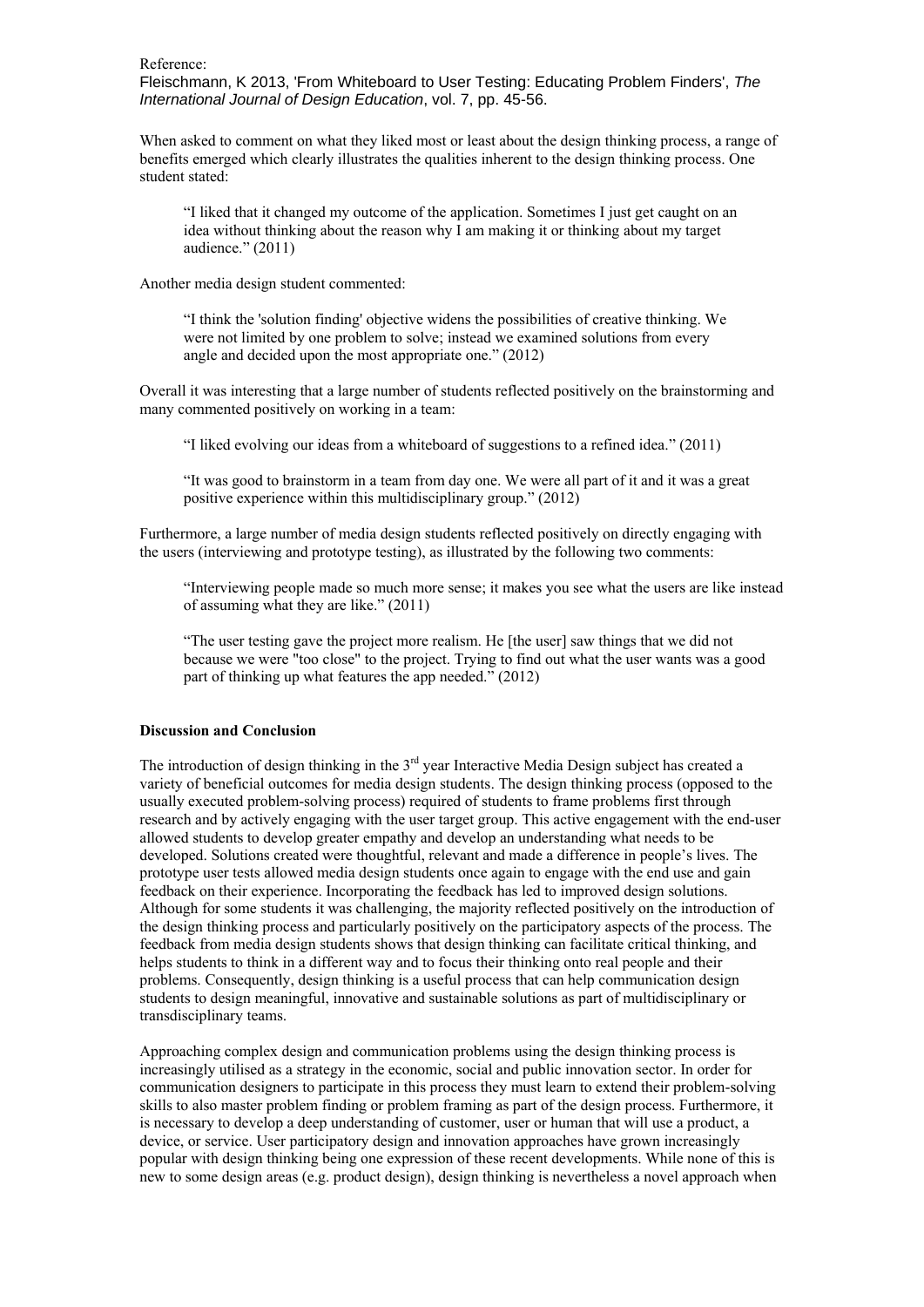Fleischmann, K 2013, 'From Whiteboard to User Testing: Educating Problem Finders', *The International Journal of Design Education*, vol. 7, pp. 45-56.

When asked to comment on what they liked most or least about the design thinking process, a range of benefits emerged which clearly illustrates the qualities inherent to the design thinking process. One student stated:

"I liked that it changed my outcome of the application. Sometimes I just get caught on an idea without thinking about the reason why I am making it or thinking about my target audience." (2011)

Another media design student commented:

"I think the 'solution finding' objective widens the possibilities of creative thinking. We were not limited by one problem to solve; instead we examined solutions from every angle and decided upon the most appropriate one." (2012)

Overall it was interesting that a large number of students reflected positively on the brainstorming and many commented positively on working in a team:

"I liked evolving our ideas from a whiteboard of suggestions to a refined idea." (2011)

"It was good to brainstorm in a team from day one. We were all part of it and it was a great positive experience within this multidisciplinary group." (2012)

Furthermore, a large number of media design students reflected positively on directly engaging with the users (interviewing and prototype testing), as illustrated by the following two comments:

"Interviewing people made so much more sense; it makes you see what the users are like instead of assuming what they are like." (2011)

"The user testing gave the project more realism. He [the user] saw things that we did not because we were "too close" to the project. Trying to find out what the user wants was a good part of thinking up what features the app needed." (2012)

# **Discussion and Conclusion**

The introduction of design thinking in the 3<sup>rd</sup> year Interactive Media Design subject has created a variety of beneficial outcomes for media design students. The design thinking process (opposed to the usually executed problem-solving process) required of students to frame problems first through research and by actively engaging with the user target group. This active engagement with the end-user allowed students to develop greater empathy and develop an understanding what needs to be developed. Solutions created were thoughtful, relevant and made a difference in people's lives. The prototype user tests allowed media design students once again to engage with the end use and gain feedback on their experience. Incorporating the feedback has led to improved design solutions. Although for some students it was challenging, the majority reflected positively on the introduction of the design thinking process and particularly positively on the participatory aspects of the process. The feedback from media design students shows that design thinking can facilitate critical thinking, and helps students to think in a different way and to focus their thinking onto real people and their problems. Consequently, design thinking is a useful process that can help communication design students to design meaningful, innovative and sustainable solutions as part of multidisciplinary or transdisciplinary teams.

Approaching complex design and communication problems using the design thinking process is increasingly utilised as a strategy in the economic, social and public innovation sector. In order for communication designers to participate in this process they must learn to extend their problem-solving skills to also master problem finding or problem framing as part of the design process. Furthermore, it is necessary to develop a deep understanding of customer, user or human that will use a product, a device, or service. User participatory design and innovation approaches have grown increasingly popular with design thinking being one expression of these recent developments. While none of this is new to some design areas (e.g. product design), design thinking is nevertheless a novel approach when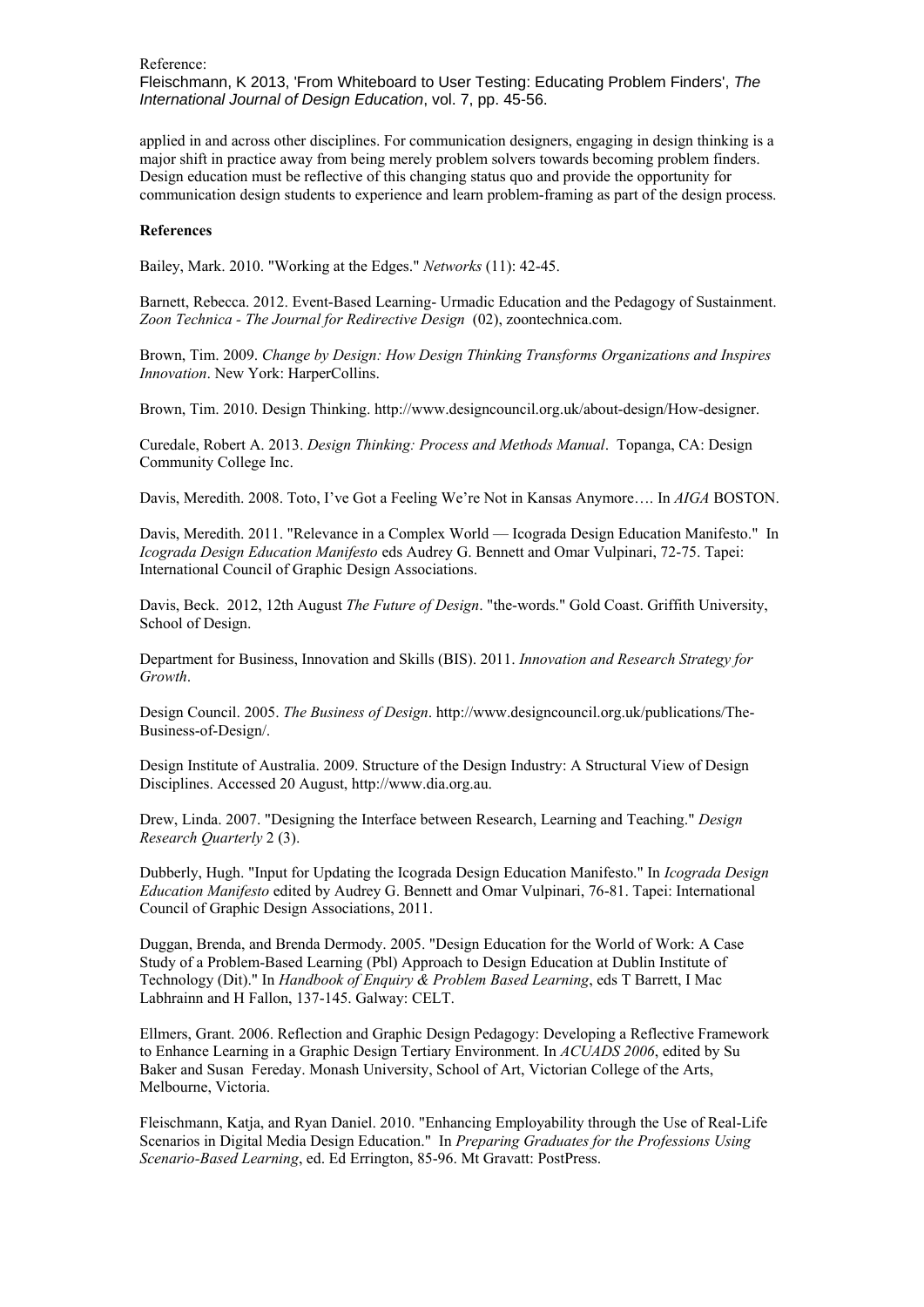applied in and across other disciplines. For communication designers, engaging in design thinking is a major shift in practice away from being merely problem solvers towards becoming problem finders. Design education must be reflective of this changing status quo and provide the opportunity for communication design students to experience and learn problem-framing as part of the design process.

## **References**

Bailey, Mark. 2010. "Working at the Edges." *Networks* (11): 42-45.

Barnett, Rebecca. 2012. Event-Based Learning- Urmadic Education and the Pedagogy of Sustainment. *Zoon Technica - The Journal for Redirective Design* (02), zoontechnica.com.

Brown, Tim. 2009. *Change by Design: How Design Thinking Transforms Organizations and Inspires Innovation*. New York: HarperCollins.

Brown, Tim. 2010. Design Thinking.<http://www.designcouncil.org.uk/about-design/How-designer.>

Curedale, Robert A. 2013. *Design Thinking: Process and Methods Manual*. Topanga, CA: Design Community College Inc.

Davis, Meredith. 2008. Toto, I've Got a Feeling We're Not in Kansas Anymore…. In *AIGA* BOSTON.

Davis, Meredith. 2011. "Relevance in a Complex World — Icograda Design Education Manifesto." In *Icograda Design Education Manifesto* eds Audrey G. Bennett and Omar Vulpinari, 72-75. Tapei: International Council of Graphic Design Associations.

Davis, Beck. 2012, 12th August *The Future of Design*. "the-words." Gold Coast. Griffith University, School of Design.

Department for Business, Innovation and Skills (BIS). 2011. *Innovation and Research Strategy for Growth*.

Design Council. 2005. *The Business of Design*. [http://www.designcouncil.org.uk/publications/The-](http://www.designcouncil.org.uk/publications/The-Business-of-Design/)[Business-of-Design/.](http://www.designcouncil.org.uk/publications/The-Business-of-Design/)

Design Institute of Australia. 2009. Structure of the Design Industry: A Structural View of Design Disciplines. Accessed 20 August[, http://www.dia.org.au.](http://www.dia.org.au./)

Drew, Linda. 2007. "Designing the Interface between Research, Learning and Teaching." *Design Research Quarterly* 2 (3).

Dubberly, Hugh. "Input for Updating the Icograda Design Education Manifesto." In *Icograda Design Education Manifesto* edited by Audrey G. Bennett and Omar Vulpinari, 76-81. Tapei: International Council of Graphic Design Associations, 2011.

Duggan, Brenda, and Brenda Dermody. 2005. "Design Education for the World of Work: A Case Study of a Problem-Based Learning (Pbl) Approach to Design Education at Dublin Institute of Technology (Dit)." In *Handbook of Enquiry & Problem Based Learning*, eds T Barrett, I Mac Labhrainn and H Fallon, 137-145. Galway: CELT.

Ellmers, Grant. 2006. Reflection and Graphic Design Pedagogy: Developing a Reflective Framework to Enhance Learning in a Graphic Design Tertiary Environment. In *ACUADS 2006*, edited by Su Baker and Susan Fereday. Monash University, School of Art, Victorian College of the Arts, Melbourne, Victoria.

Fleischmann, Katja, and Ryan Daniel. 2010. "Enhancing Employability through the Use of Real-Life Scenarios in Digital Media Design Education." In *Preparing Graduates for the Professions Using Scenario-Based Learning*, ed. Ed Errington, 85-96. Mt Gravatt: PostPress.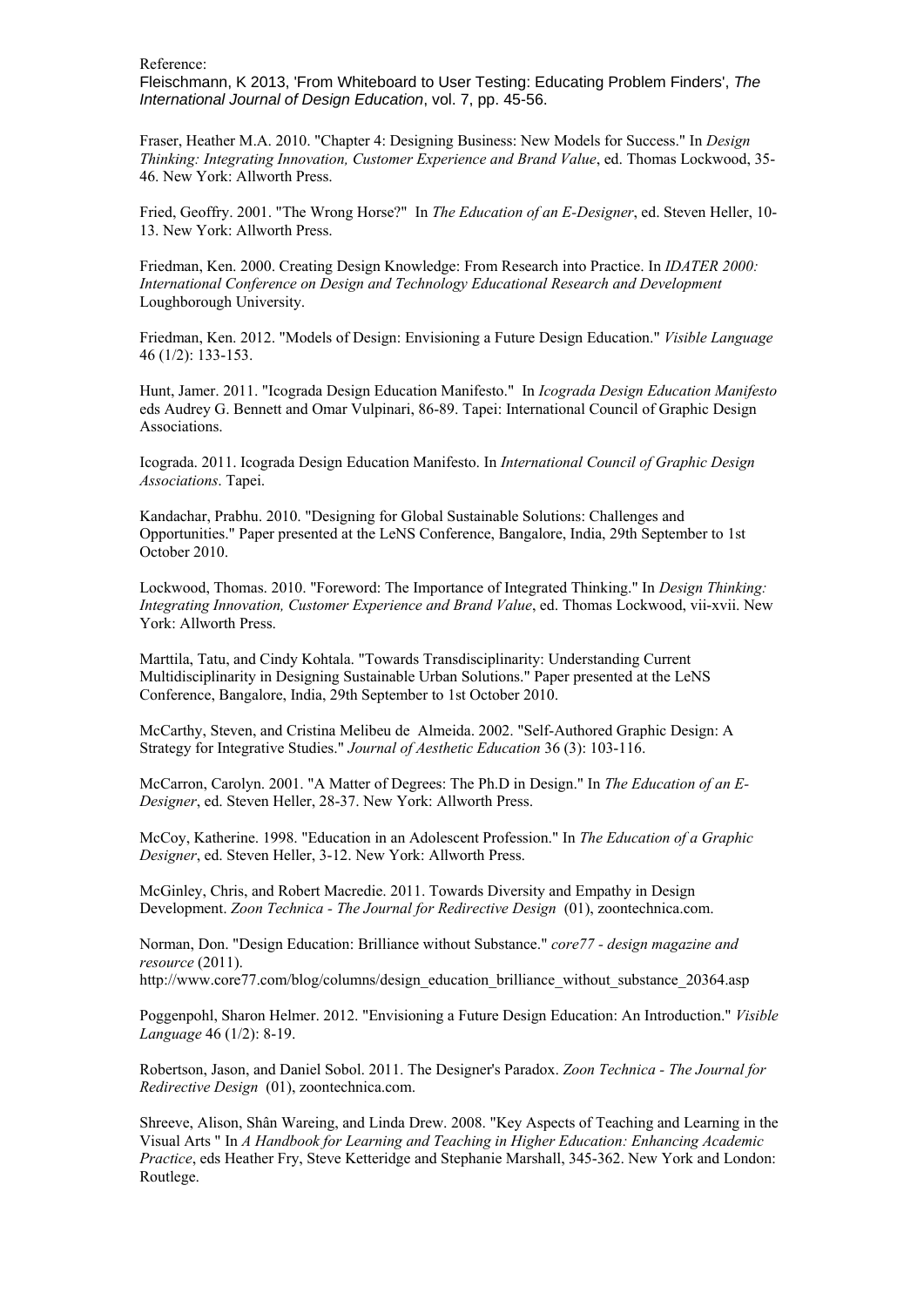Fleischmann, K 2013, 'From Whiteboard to User Testing: Educating Problem Finders', *The International Journal of Design Education*, vol. 7, pp. 45-56.

Fraser, Heather M.A. 2010. "Chapter 4: Designing Business: New Models for Success." In *Design Thinking: Integrating Innovation, Customer Experience and Brand Value*, ed. Thomas Lockwood, 35- 46. New York: Allworth Press.

Fried, Geoffry. 2001. "The Wrong Horse?" In *The Education of an E-Designer*, ed. Steven Heller, 10- 13. New York: Allworth Press.

Friedman, Ken. 2000. Creating Design Knowledge: From Research into Practice. In *IDATER 2000: International Conference on Design and Technology Educational Research and Development*  Loughborough University.

Friedman, Ken. 2012. "Models of Design: Envisioning a Future Design Education." *Visible Language* 46 (1/2): 133-153.

Hunt, Jamer. 2011. "Icograda Design Education Manifesto." In *Icograda Design Education Manifesto*  eds Audrey G. Bennett and Omar Vulpinari, 86-89. Tapei: International Council of Graphic Design Associations.

Icograda. 2011. Icograda Design Education Manifesto. In *International Council of Graphic Design Associations*. Tapei.

Kandachar, Prabhu. 2010. "Designing for Global Sustainable Solutions: Challenges and Opportunities." Paper presented at the LeNS Conference, Bangalore, India, 29th September to 1st October 2010.

Lockwood, Thomas. 2010. "Foreword: The Importance of Integrated Thinking." In *Design Thinking: Integrating Innovation, Customer Experience and Brand Value*, ed. Thomas Lockwood, vii-xvii. New York: Allworth Press.

Marttila, Tatu, and Cindy Kohtala. "Towards Transdisciplinarity: Understanding Current Multidisciplinarity in Designing Sustainable Urban Solutions." Paper presented at the LeNS Conference, Bangalore, India, 29th September to 1st October 2010.

McCarthy, Steven, and Cristina Melibeu de Almeida. 2002. "Self-Authored Graphic Design: A Strategy for Integrative Studies." *Journal of Aesthetic Education* 36 (3): 103-116.

McCarron, Carolyn. 2001. "A Matter of Degrees: The Ph.D in Design." In *The Education of an E-Designer*, ed. Steven Heller, 28-37. New York: Allworth Press.

McCoy, Katherine. 1998. "Education in an Adolescent Profession." In *The Education of a Graphic Designer*, ed. Steven Heller, 3-12. New York: Allworth Press.

McGinley, Chris, and Robert Macredie. 2011. Towards Diversity and Empathy in Design Development. *Zoon Technica - The Journal for Redirective Design* (01), zoontechnica.com.

Norman, Don. "Design Education: Brilliance without Substance." *core77 - design magazine and resource* (2011).

http://www.core77.com/blog/columns/design\_education\_brilliance\_without\_substance\_20364.asp

Poggenpohl, Sharon Helmer. 2012. "Envisioning a Future Design Education: An Introduction." *Visible Language* 46 (1/2): 8-19.

Robertson, Jason, and Daniel Sobol. 2011. The Designer's Paradox. *Zoon Technica - The Journal for Redirective Design* (01), zoontechnica.com.

Shreeve, Alison, Shân Wareing, and Linda Drew. 2008. "Key Aspects of Teaching and Learning in the Visual Arts " In *A Handbook for Learning and Teaching in Higher Education: Enhancing Academic Practice*, eds Heather Fry, Steve Ketteridge and Stephanie Marshall, 345-362. New York and London: Routlege.